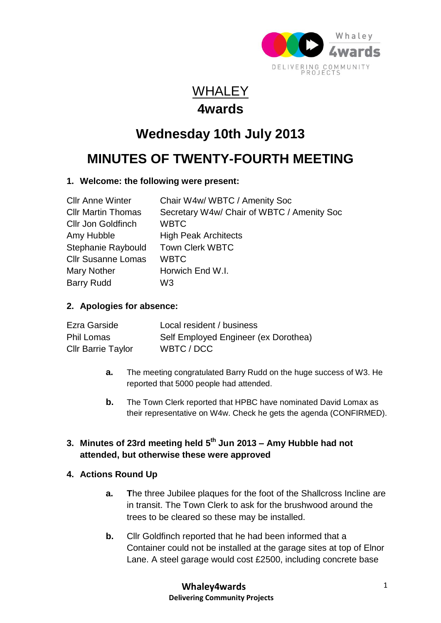

## WHALEY **4wards**

# **Wednesday 10th July 2013**

# **MINUTES OF TWENTY-FOURTH MEETING**

### **1. Welcome: the following were present:**

| <b>Cllr Anne Winter</b>   | Chair W4w/WBTC / Amenity Soc               |
|---------------------------|--------------------------------------------|
| <b>CIIr Martin Thomas</b> | Secretary W4w/ Chair of WBTC / Amenity Soc |
| <b>Cllr Jon Goldfinch</b> | <b>WBTC</b>                                |
| Amy Hubble                | <b>High Peak Architects</b>                |
| Stephanie Raybould        | <b>Town Clerk WBTC</b>                     |
| <b>Cllr Susanne Lomas</b> | <b>WBTC</b>                                |
| Mary Nother               | Horwich End W.I.                           |
| <b>Barry Rudd</b>         | WЗ                                         |

#### **2. Apologies for absence:**

| Ezra Garside              | Local resident / business            |
|---------------------------|--------------------------------------|
| <b>Phil Lomas</b>         | Self Employed Engineer (ex Dorothea) |
| <b>Cllr Barrie Taylor</b> | WBTC / DCC                           |

- **a.** The meeting congratulated Barry Rudd on the huge success of W3. He reported that 5000 people had attended.
- **b.** The Town Clerk reported that HPBC have nominated David Lomax as their representative on W4w. Check he gets the agenda (CONFIRMED).

### **3. Minutes of 23rd meeting held 5 th Jun 2013 – Amy Hubble had not attended, but otherwise these were approved**

#### **4. Actions Round Up**

- **a. T**he three Jubilee plaques for the foot of the Shallcross Incline are in transit. The Town Clerk to ask for the brushwood around the trees to be cleared so these may be installed.
- **b.** Cllr Goldfinch reported that he had been informed that a Container could not be installed at the garage sites at top of Elnor Lane. A steel garage would cost £2500, including concrete base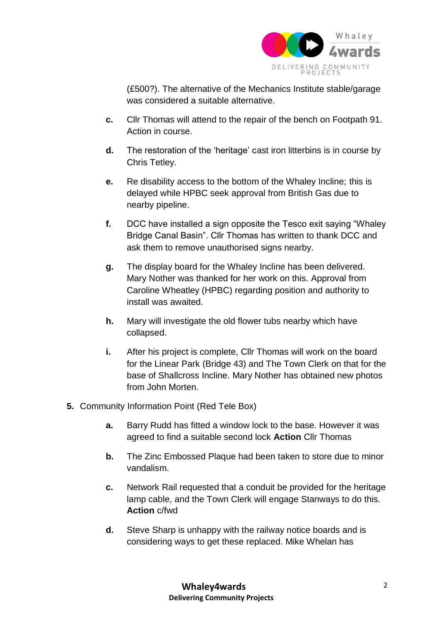

(£500?). The alternative of the Mechanics Institute stable/garage was considered a suitable alternative.

- **c.** Cllr Thomas will attend to the repair of the bench on Footpath 91. Action in course.
- **d.** The restoration of the 'heritage' cast iron litterbins is in course by Chris Tetley.
- **e.** Re disability access to the bottom of the Whaley Incline; this is delayed while HPBC seek approval from British Gas due to nearby pipeline.
- **f.** DCC have installed a sign opposite the Tesco exit saying "Whaley Bridge Canal Basin". Cllr Thomas has written to thank DCC and ask them to remove unauthorised signs nearby.
- **g.** The display board for the Whaley Incline has been delivered. Mary Nother was thanked for her work on this. Approval from Caroline Wheatley (HPBC) regarding position and authority to install was awaited.
- **h.** Mary will investigate the old flower tubs nearby which have collapsed.
- **i.** After his project is complete, Cllr Thomas will work on the board for the Linear Park (Bridge 43) and The Town Clerk on that for the base of Shallcross Incline. Mary Nother has obtained new photos from John Morten.
- **5.** Community Information Point (Red Tele Box)
	- **a.** Barry Rudd has fitted a window lock to the base. However it was agreed to find a suitable second lock **Action** Cllr Thomas
	- **b.** The Zinc Embossed Plaque had been taken to store due to minor vandalism.
	- **c.** Network Rail requested that a conduit be provided for the heritage lamp cable, and the Town Clerk will engage Stanways to do this. **Action** c/fwd
	- **d.** Steve Sharp is unhappy with the railway notice boards and is considering ways to get these replaced. Mike Whelan has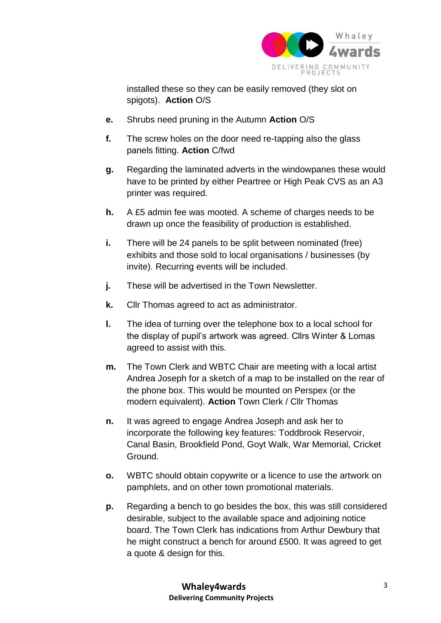

installed these so they can be easily removed (they slot on spigots). **Action** O/S

- **e.** Shrubs need pruning in the Autumn **Action** O/S
- **f.** The screw holes on the door need re-tapping also the glass panels fitting. **Action** C/fwd
- **g.** Regarding the laminated adverts in the windowpanes these would have to be printed by either Peartree or High Peak CVS as an A3 printer was required.
- **h.** A £5 admin fee was mooted. A scheme of charges needs to be drawn up once the feasibility of production is established.
- **i.** There will be 24 panels to be split between nominated (free) exhibits and those sold to local organisations / businesses (by invite). Recurring events will be included.
- **j.** These will be advertised in the Town Newsletter.
- **k.** Cllr Thomas agreed to act as administrator.
- **l.** The idea of turning over the telephone box to a local school for the display of pupil's artwork was agreed. Cllrs Winter & Lomas agreed to assist with this.
- **m.** The Town Clerk and WBTC Chair are meeting with a local artist Andrea Joseph for a sketch of a map to be installed on the rear of the phone box. This would be mounted on Perspex (or the modern equivalent). **Action** Town Clerk / Cllr Thomas
- **n.** It was agreed to engage Andrea Joseph and ask her to incorporate the following key features: Toddbrook Reservoir, Canal Basin, Brookfield Pond, Goyt Walk, War Memorial, Cricket Ground.
- **o.** WBTC should obtain copywrite or a licence to use the artwork on pamphlets, and on other town promotional materials.
- **p.** Regarding a bench to go besides the box, this was still considered desirable, subject to the available space and adjoining notice board. The Town Clerk has indications from Arthur Dewbury that he might construct a bench for around £500. It was agreed to get a quote & design for this.